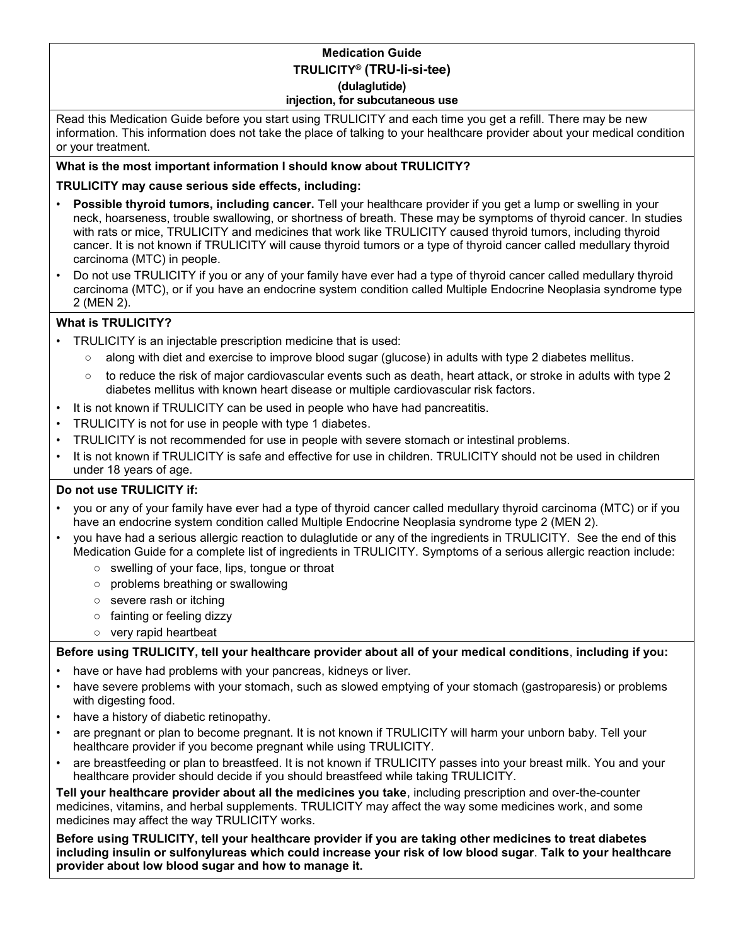### **Medication Guide TRULICITY® (TRU-li-si-tee) (dulaglutide) injection, for subcutaneous use**

Read this Medication Guide before you start using TRULICITY and each time you get a refill. There may be new information. This information does not take the place of talking to your healthcare provider about your medical condition or your treatment.

## **What is the most important information I should know about TRULICITY?**

## **TRULICITY may cause serious side effects, including:**

- **Possible thyroid tumors, including cancer.** Tell your healthcare provider if you get a lump or swelling in your neck, hoarseness, trouble swallowing, or shortness of breath. These may be symptoms of thyroid cancer. In studies with rats or mice, TRULICITY and medicines that work like TRULICITY caused thyroid tumors, including thyroid cancer. It is not known if TRULICITY will cause thyroid tumors or a type of thyroid cancer called medullary thyroid carcinoma (MTC) in people.
- Do not use TRULICITY if you or any of your family have ever had a type of thyroid cancer called medullary thyroid carcinoma (MTC), or if you have an endocrine system condition called Multiple Endocrine Neoplasia syndrome type 2 (MEN 2).

## **What is TRULICITY?**

- TRULICITY is an injectable prescription medicine that is used:
	- along with diet and exercise to improve blood sugar (glucose) in adults with type 2 diabetes mellitus.
	- to reduce the risk of major cardiovascular events such as death, heart attack, or stroke in adults with type 2 diabetes mellitus with known heart disease or multiple cardiovascular risk factors.
- It is not known if TRULICITY can be used in people who have had pancreatitis.
- TRULICITY is not for use in people with type 1 diabetes.
- TRULICITY is not recommended for use in people with severe stomach or intestinal problems.
- It is not known if TRULICITY is safe and effective for use in children. TRULICITY should not be used in children under 18 years of age.

### **Do not use TRULICITY if:**

- you or any of your family have ever had a type of thyroid cancer called medullary thyroid carcinoma (MTC) or if you have an endocrine system condition called Multiple Endocrine Neoplasia syndrome type 2 (MEN 2).
- you have had a serious allergic reaction to dulaglutide or any of the ingredients in TRULICITY. See the end of this Medication Guide for a complete list of ingredients in TRULICITY. Symptoms of a serious allergic reaction include:
	- swelling of your face, lips, tongue or throat
	- problems breathing or swallowing
	- severe rash or itching
	- fainting or feeling dizzy
	- very rapid heartbeat

### **Before using TRULICITY, tell your healthcare provider about all of your medical conditions**, **including if you:**

- have or have had problems with your pancreas, kidneys or liver.
- have severe problems with your stomach, such as slowed emptying of your stomach (gastroparesis) or problems with digesting food.
- have a history of diabetic retinopathy.
- are pregnant or plan to become pregnant. It is not known if TRULICITY will harm your unborn baby. Tell your healthcare provider if you become pregnant while using TRULICITY.
- are breastfeeding or plan to breastfeed. It is not known if TRULICITY passes into your breast milk. You and your healthcare provider should decide if you should breastfeed while taking TRULICITY.

**Tell your healthcare provider about all the medicines you take**, including prescription and over-the-counter medicines, vitamins, and herbal supplements. TRULICITY may affect the way some medicines work, and some medicines may affect the way TRULICITY works.

**Before using TRULICITY, tell your healthcare provider if you are taking other medicines to treat diabetes including insulin or sulfonylureas which could increase your risk of low blood sugar**. **Talk to your healthcare provider about low blood sugar and how to manage it.**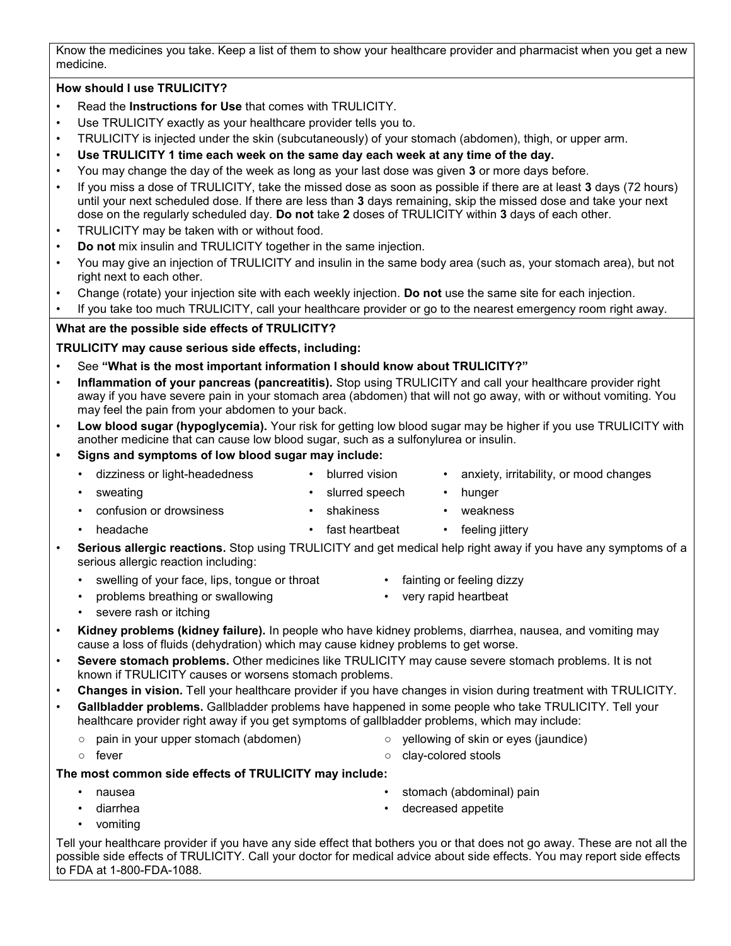Know the medicines you take. Keep a list of them to show your healthcare provider and pharmacist when you get a new medicine.

# **How should I use TRULICITY?**

- Read the **Instructions for Use** that comes with TRULICITY.
- Use TRULICITY exactly as your healthcare provider tells you to.
- TRULICITY is injected under the skin (subcutaneously) of your stomach (abdomen), thigh, or upper arm.
- **Use TRULICITY 1 time each week on the same day each week at any time of the day.**
- You may change the day of the week as long as your last dose was given **3** or more days before.
- If you miss a dose of TRULICITY, take the missed dose as soon as possible if there are at least **3** days (72 hours) until your next scheduled dose. If there are less than **3** days remaining, skip the missed dose and take your next dose on the regularly scheduled day. **Do not** take **2** doses of TRULICITY within **3** days of each other.
- TRULICITY may be taken with or without food.
- **Do not** mix insulin and TRULICITY together in the same injection.
- You may give an injection of TRULICITY and insulin in the same body area (such as, your stomach area), but not right next to each other.
- Change (rotate) your injection site with each weekly injection. **Do not** use the same site for each injection.
- If you take too much TRULICITY, call your healthcare provider or go to the nearest emergency room right away.

## **What are the possible side effects of TRULICITY?**

**TRULICITY may cause serious side effects, including:**

- See **"What is the most important information I should know about TRULICITY?"**
- **Inflammation of your pancreas (pancreatitis).** Stop using TRULICITY and call your healthcare provider right away if you have severe pain in your stomach area (abdomen) that will not go away, with or without vomiting. You may feel the pain from your abdomen to your back.
- **Low blood sugar (hypoglycemia).** Your risk for getting low blood sugar may be higher if you use TRULICITY with another medicine that can cause low blood sugar, such as a sulfonylurea or insulin.
- **• Signs and symptoms of low blood sugar may include:**
	-
- 
- dizziness or light-headedness blurred vision anxiety, irritability, or mood changes
- 
- sweating **•** slurred speech hunger
	-
	- confusion or drowsiness shakiness weakness
- 
- **headache fast heartbeat feeling jittery** 
	-
- **Serious allergic reactions.** Stop using TRULICITY and get medical help right away if you have any symptoms of a serious allergic reaction including:
	- swelling of your face, lips, tongue or throat
	- problems breathing or swallowing
- fainting or feeling dizzy
- 
- very rapid heartbeat

- severe rash or itching
- **Kidney problems (kidney failure).** In people who have kidney problems, diarrhea, nausea, and vomiting may cause a loss of fluids (dehydration) which may cause kidney problems to get worse.
- **Severe stomach problems.** Other medicines like TRULICITY may cause severe stomach problems. It is not known if TRULICITY causes or worsens stomach problems.
- **Changes in vision.** Tell your healthcare provider if you have changes in vision during treatment with TRULICITY.
- **Gallbladder problems.** Gallbladder problems have happened in some people who take TRULICITY. Tell your healthcare provider right away if you get symptoms of gallbladder problems, which may include:
	- pain in your upper stomach (abdomen)
- yellowing of skin or eyes (jaundice)
- fever
- clay-colored stools

### **The most common side effects of TRULICITY may include:**

- nausea
- diarrhea
- stomach (abdominal) pain • decreased appetite
- 
- vomiting

Tell your healthcare provider if you have any side effect that bothers you or that does not go away. These are not all the possible side effects of TRULICITY. Call your doctor for medical advice about side effects. You may report side effects to FDA at 1-800-FDA-1088.

- 
-